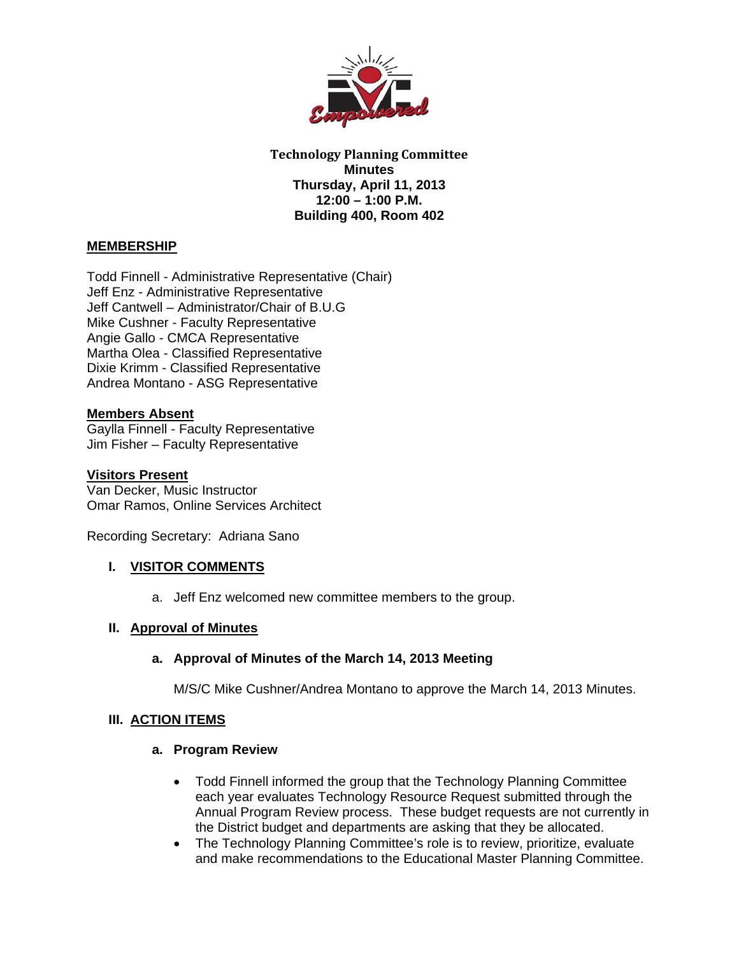

**Technology Planning Committee Minutes Thursday, April 11, 2013 12:00 – 1:00 P.M. Building 400, Room 402** 

# **MEMBERSHIP**

Todd Finnell - Administrative Representative (Chair) Jeff Enz - Administrative Representative Jeff Cantwell – Administrator/Chair of B.U.G Mike Cushner - Faculty Representative Angie Gallo - CMCA Representative Martha Olea - Classified Representative Dixie Krimm - Classified Representative Andrea Montano - ASG Representative

### **Members Absent**

Gaylla Finnell - Faculty Representative Jim Fisher – Faculty Representative

### **Visitors Present**

Van Decker, Music Instructor Omar Ramos, Online Services Architect

Recording Secretary: Adriana Sano

### **I. VISITOR COMMENTS**

a. Jeff Enz welcomed new committee members to the group.

#### **II. Approval of Minutes**

#### **a. Approval of Minutes of the March 14, 2013 Meeting**

M/S/C Mike Cushner/Andrea Montano to approve the March 14, 2013 Minutes.

### **III. ACTION ITEMS**

#### **a. Program Review**

- Todd Finnell informed the group that the Technology Planning Committee each year evaluates Technology Resource Request submitted through the Annual Program Review process. These budget requests are not currently in the District budget and departments are asking that they be allocated.
- The Technology Planning Committee's role is to review, prioritize, evaluate and make recommendations to the Educational Master Planning Committee.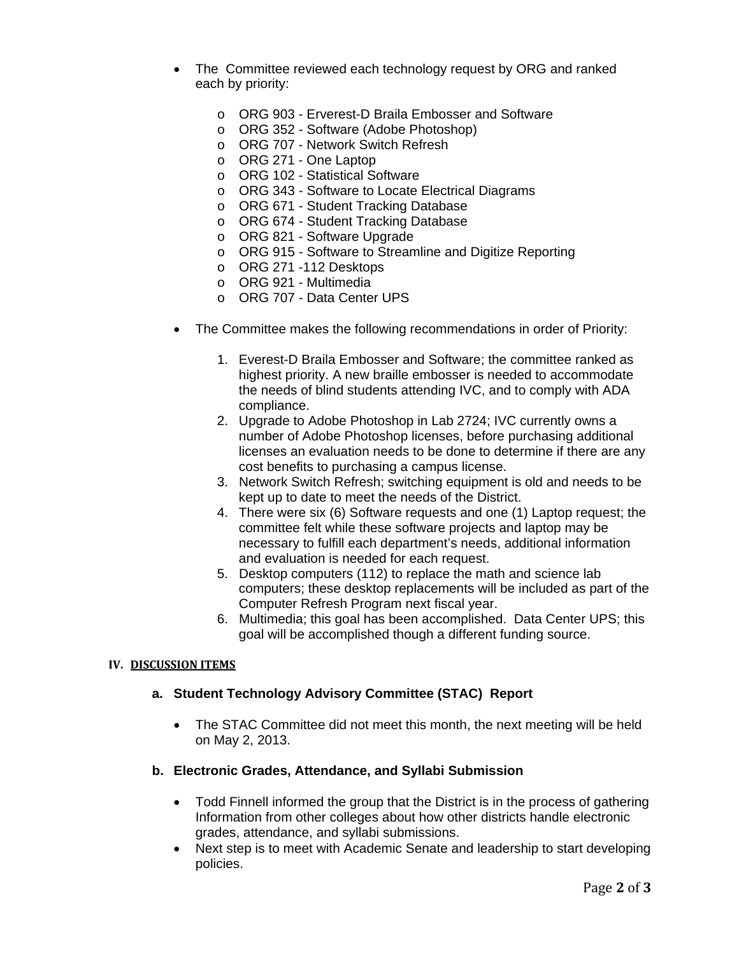- The Committee reviewed each technology request by ORG and ranked each by priority:
	- o ORG 903 Erverest-D Braila Embosser and Software
	- o ORG 352 Software (Adobe Photoshop)
	- o ORG 707 Network Switch Refresh
	- o ORG 271 One Laptop
	- o ORG 102 Statistical Software
	- o ORG 343 Software to Locate Electrical Diagrams
	- o ORG 671 Student Tracking Database
	- o ORG 674 Student Tracking Database
	- o ORG 821 Software Upgrade
	- o ORG 915 Software to Streamline and Digitize Reporting
	- o ORG 271 -112 Desktops
	- o ORG 921 Multimedia
	- o ORG 707 Data Center UPS
- The Committee makes the following recommendations in order of Priority:
	- 1. Everest-D Braila Embosser and Software; the committee ranked as highest priority. A new braille embosser is needed to accommodate the needs of blind students attending IVC, and to comply with ADA compliance.
	- 2. Upgrade to Adobe Photoshop in Lab 2724; IVC currently owns a number of Adobe Photoshop licenses, before purchasing additional licenses an evaluation needs to be done to determine if there are any cost benefits to purchasing a campus license.
	- 3. Network Switch Refresh; switching equipment is old and needs to be kept up to date to meet the needs of the District.
	- 4. There were six (6) Software requests and one (1) Laptop request; the committee felt while these software projects and laptop may be necessary to fulfill each department's needs, additional information and evaluation is needed for each request.
	- 5. Desktop computers (112) to replace the math and science lab computers; these desktop replacements will be included as part of the Computer Refresh Program next fiscal year.
	- 6. Multimedia; this goal has been accomplished. Data Center UPS; this goal will be accomplished though a different funding source.

#### **IV. DISCUSSION ITEMS**

### **a. Student Technology Advisory Committee (STAC) Report**

 The STAC Committee did not meet this month, the next meeting will be held on May 2, 2013.

#### **b. Electronic Grades, Attendance, and Syllabi Submission**

- Todd Finnell informed the group that the District is in the process of gathering Information from other colleges about how other districts handle electronic grades, attendance, and syllabi submissions.
- Next step is to meet with Academic Senate and leadership to start developing policies.